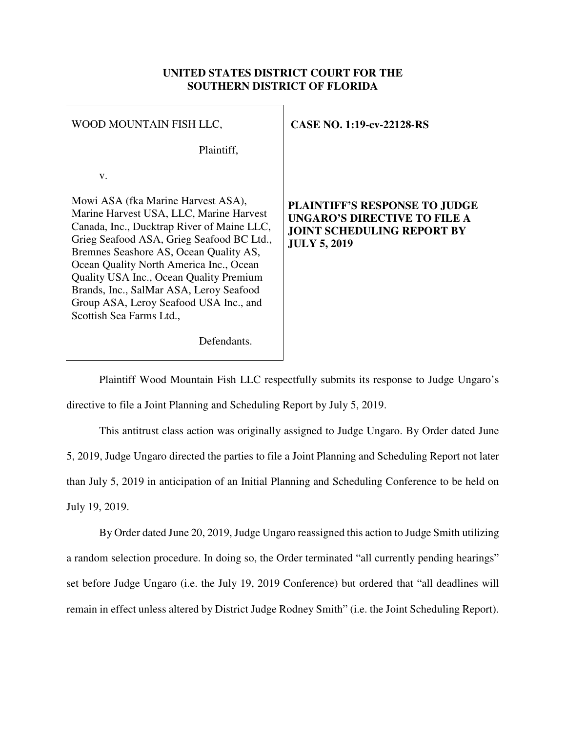### **UNITED STATES DISTRICT COURT FOR THE SOUTHERN DISTRICT OF FLORIDA**

| WOOD MOUNTAIN FISH LLC,                                                                                                                                                                                                                                                                                                                                                                                                   | <b>CASE NO. 1:19-cv-22128-RS</b>                                                                                                        |
|---------------------------------------------------------------------------------------------------------------------------------------------------------------------------------------------------------------------------------------------------------------------------------------------------------------------------------------------------------------------------------------------------------------------------|-----------------------------------------------------------------------------------------------------------------------------------------|
| Plaintiff,                                                                                                                                                                                                                                                                                                                                                                                                                |                                                                                                                                         |
| V.                                                                                                                                                                                                                                                                                                                                                                                                                        |                                                                                                                                         |
| Mowi ASA (fka Marine Harvest ASA),<br>Marine Harvest USA, LLC, Marine Harvest<br>Canada, Inc., Ducktrap River of Maine LLC,<br>Grieg Seafood ASA, Grieg Seafood BC Ltd.,<br>Bremnes Seashore AS, Ocean Quality AS,<br>Ocean Quality North America Inc., Ocean<br>Quality USA Inc., Ocean Quality Premium<br>Brands, Inc., SalMar ASA, Leroy Seafood<br>Group ASA, Leroy Seafood USA Inc., and<br>Scottish Sea Farms Ltd., | <b>PLAINTIFF'S RESPONSE TO JUDGE</b><br><b>UNGARO'S DIRECTIVE TO FILE A</b><br><b>JOINT SCHEDULING REPORT BY</b><br><b>JULY 5, 2019</b> |
| Defendants.                                                                                                                                                                                                                                                                                                                                                                                                               |                                                                                                                                         |

 Plaintiff Wood Mountain Fish LLC respectfully submits its response to Judge Ungaro's directive to file a Joint Planning and Scheduling Report by July 5, 2019.

This antitrust class action was originally assigned to Judge Ungaro. By Order dated June 5, 2019, Judge Ungaro directed the parties to file a Joint Planning and Scheduling Report not later than July 5, 2019 in anticipation of an Initial Planning and Scheduling Conference to be held on July 19, 2019.

By Order dated June 20, 2019, Judge Ungaro reassigned this action to Judge Smith utilizing a random selection procedure. In doing so, the Order terminated "all currently pending hearings" set before Judge Ungaro (i.e. the July 19, 2019 Conference) but ordered that "all deadlines will remain in effect unless altered by District Judge Rodney Smith" (i.e. the Joint Scheduling Report).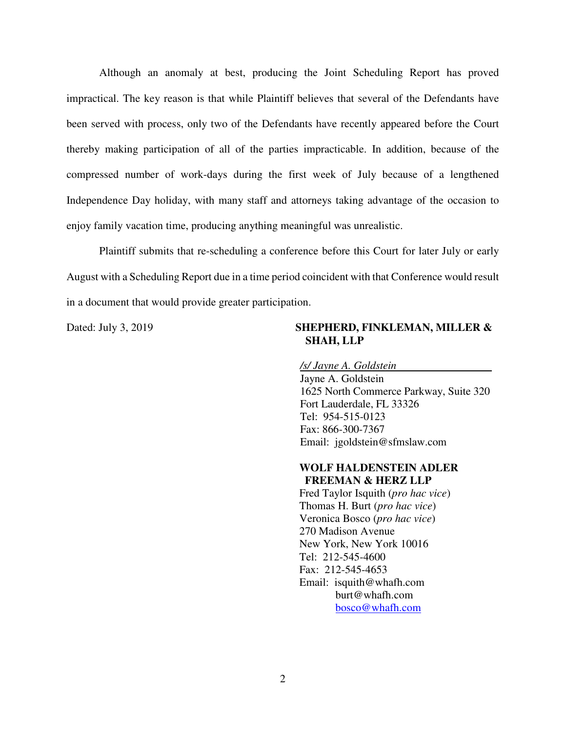Although an anomaly at best, producing the Joint Scheduling Report has proved impractical. The key reason is that while Plaintiff believes that several of the Defendants have been served with process, only two of the Defendants have recently appeared before the Court thereby making participation of all of the parties impracticable. In addition, because of the compressed number of work-days during the first week of July because of a lengthened Independence Day holiday, with many staff and attorneys taking advantage of the occasion to enjoy family vacation time, producing anything meaningful was unrealistic.

Plaintiff submits that re-scheduling a conference before this Court for later July or early August with a Scheduling Report due in a time period coincident with that Conference would result in a document that would provide greater participation.

#### Dated: July 3, 2019 **SHEPHERD, FINKLEMAN, MILLER & SHAH, LLP**

*/s/ Jayne A. Goldstein* 

Jayne A. Goldstein 1625 North Commerce Parkway, Suite 320 Fort Lauderdale, FL 33326 Tel: 954-515-0123 Fax: 866-300-7367 Email: jgoldstein@sfmslaw.com

### **WOLF HALDENSTEIN ADLER FREEMAN & HERZ LLP**

Fred Taylor Isquith (*pro hac vice*) Thomas H. Burt (*pro hac vice*) Veronica Bosco (*pro hac vice*) 270 Madison Avenue New York, New York 10016 Tel: 212-545-4600 Fax: 212-545-4653 Email: isquith@whafh.com burt@whafh.com bosco@whafh.com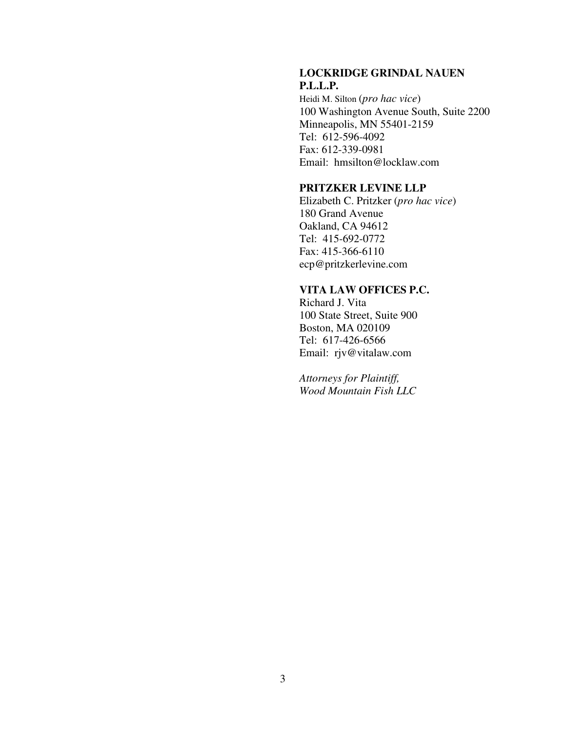### **LOCKRIDGE GRINDAL NAUEN P.L.L.P.**

Heidi M. Silton (*pro hac vice*) 100 Washington Avenue South, Suite 2200 Minneapolis, MN 55401-2159 Tel: 612-596-4092 Fax: 612-339-0981 Email: hmsilton@locklaw.com

#### **PRITZKER LEVINE LLP**

Elizabeth C. Pritzker (*pro hac vice*) 180 Grand Avenue Oakland, CA 94612 Tel: 415-692-0772 Fax: 415-366-6110 ecp@pritzkerlevine.com

## **VITA LAW OFFICES P.C.**

Richard J. Vita 100 State Street, Suite 900 Boston, MA 020109 Tel: 617-426-6566 Email: rjv@vitalaw.com

*Attorneys for Plaintiff, Wood Mountain Fish LLC*